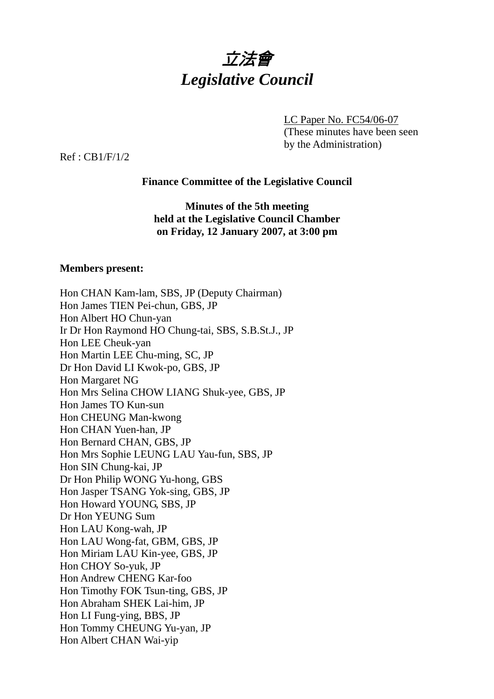

LC Paper No. FC54/06-07 (These minutes have been seen by the Administration)

Ref : CB1/F/1/2

# **Finance Committee of the Legislative Council**

**Minutes of the 5th meeting held at the Legislative Council Chamber on Friday, 12 January 2007, at 3:00 pm** 

## **Members present:**

| Hon CHAN Kam-lam, SBS, JP (Deputy Chairman)        |
|----------------------------------------------------|
| Hon James TIEN Pei-chun, GBS, JP                   |
| Hon Albert HO Chun-yan                             |
| Ir Dr Hon Raymond HO Chung-tai, SBS, S.B.St.J., JP |
| Hon LEE Cheuk-yan                                  |
| Hon Martin LEE Chu-ming, SC, JP                    |
| Dr Hon David LI Kwok-po, GBS, JP                   |
| Hon Margaret NG                                    |
| Hon Mrs Selina CHOW LIANG Shuk-yee, GBS, JP        |
| Hon James TO Kun-sun                               |
| Hon CHEUNG Man-kwong                               |
| Hon CHAN Yuen-han, JP                              |
| Hon Bernard CHAN, GBS, JP                          |
| Hon Mrs Sophie LEUNG LAU Yau-fun, SBS, JP          |
| Hon SIN Chung-kai, JP                              |
| Dr Hon Philip WONG Yu-hong, GBS                    |
| Hon Jasper TSANG Yok-sing, GBS, JP                 |
| Hon Howard YOUNG, SBS, JP                          |
| Dr Hon YEUNG Sum                                   |
| Hon LAU Kong-wah, JP                               |
| Hon LAU Wong-fat, GBM, GBS, JP                     |
| Hon Miriam LAU Kin-yee, GBS, JP                    |
| Hon CHOY So-yuk, JP                                |
| Hon Andrew CHENG Kar-foo                           |
| Hon Timothy FOK Tsun-ting, GBS, JP                 |
| Hon Abraham SHEK Lai-him, JP                       |
| Hon LI Fung-ying, BBS, JP                          |
| Hon Tommy CHEUNG Yu-yan, JP                        |
| Hon Albert CHAN Wai-yip                            |
|                                                    |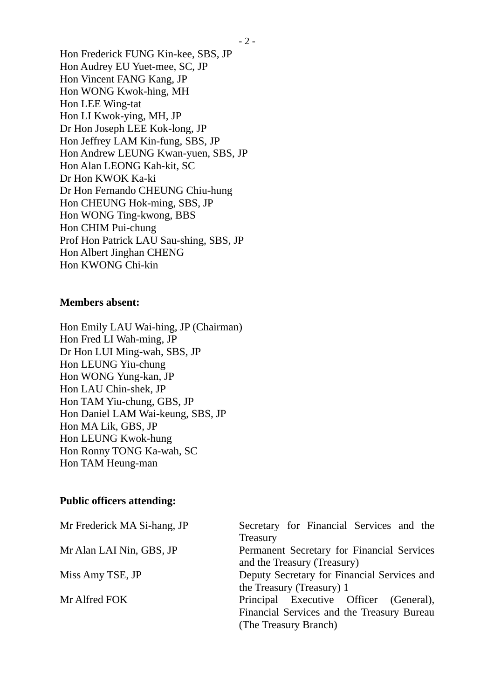Hon Frederick FUNG Kin-kee, SBS, JP Hon Audrey EU Yuet-mee, SC, JP Hon Vincent FANG Kang, JP Hon WONG Kwok-hing, MH Hon LEE Wing-tat Hon LI Kwok-ying, MH, JP Dr Hon Joseph LEE Kok-long, JP Hon Jeffrey LAM Kin-fung, SBS, JP Hon Andrew LEUNG Kwan-yuen, SBS, JP Hon Alan LEONG Kah-kit, SC Dr Hon KWOK Ka-ki Dr Hon Fernando CHEUNG Chiu-hung Hon CHEUNG Hok-ming, SBS, JP Hon WONG Ting-kwong, BBS Hon CHIM Pui-chung Prof Hon Patrick LAU Sau-shing, SBS, JP Hon Albert Jinghan CHENG Hon KWONG Chi-kin

### **Members absent:**

Hon Emily LAU Wai-hing, JP (Chairman) Hon Fred LI Wah-ming, JP Dr Hon LUI Ming-wah, SBS, JP Hon LEUNG Yiu-chung Hon WONG Yung-kan, JP Hon LAU Chin-shek, JP Hon TAM Yiu-chung, GBS, JP Hon Daniel LAM Wai-keung, SBS, JP Hon MA Lik, GBS, JP Hon LEUNG Kwok-hung Hon Ronny TONG Ka-wah, SC Hon TAM Heung-man

## **Public officers attending:**

| Secretary for Financial Services and the    |
|---------------------------------------------|
| Treasury                                    |
| Permanent Secretary for Financial Services  |
| and the Treasury (Treasury)                 |
| Deputy Secretary for Financial Services and |
| the Treasury (Treasury) 1                   |
| Principal Executive Officer (General),      |
| Financial Services and the Treasury Bureau  |
| (The Treasury Branch)                       |
|                                             |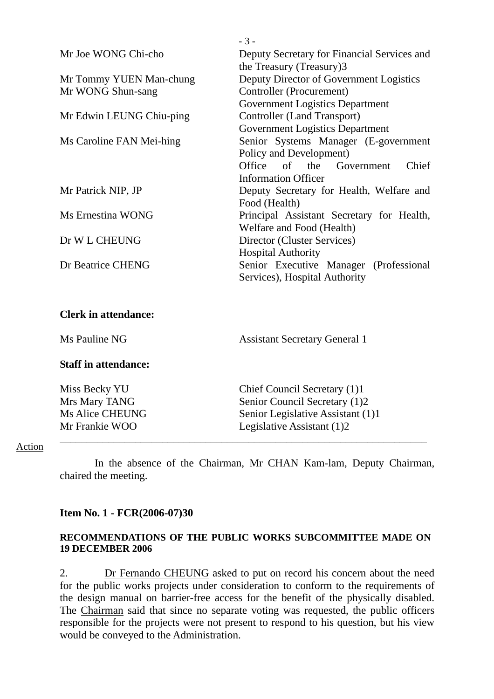|                             | $-3-$                                       |
|-----------------------------|---------------------------------------------|
| Mr Joe WONG Chi-cho         | Deputy Secretary for Financial Services and |
|                             | the Treasury (Treasury)3                    |
| Mr Tommy YUEN Man-chung     | Deputy Director of Government Logistics     |
| Mr WONG Shun-sang           | Controller (Procurement)                    |
|                             | <b>Government Logistics Department</b>      |
| Mr Edwin LEUNG Chiu-ping    | <b>Controller (Land Transport)</b>          |
|                             | <b>Government Logistics Department</b>      |
| Ms Caroline FAN Mei-hing    | Senior Systems Manager (E-government        |
|                             | Policy and Development)                     |
|                             | Office of the Government<br>Chief           |
|                             | <b>Information Officer</b>                  |
| Mr Patrick NIP, JP          | Deputy Secretary for Health, Welfare and    |
|                             | Food (Health)                               |
| Ms Ernestina WONG           | Principal Assistant Secretary for Health,   |
|                             | Welfare and Food (Health)                   |
| Dr W L CHEUNG               | Director (Cluster Services)                 |
|                             | <b>Hospital Authority</b>                   |
| Dr Beatrice CHENG           | Senior Executive Manager (Professional      |
|                             | Services), Hospital Authority               |
|                             |                                             |
|                             |                                             |
| <b>Clerk in attendance:</b> |                                             |

# Ms Pauline NG Assistant Secretary General 1

### **Staff in attendance:**

| Miss Becky YU          | Chief Council Secretary (1)1      |
|------------------------|-----------------------------------|
| Mrs Mary TANG          | Senior Council Secretary (1)2     |
| <b>Ms Alice CHEUNG</b> | Senior Legislative Assistant (1)1 |
| Mr Frankie WOO         | Legislative Assistant (1)2        |
|                        |                                   |

#### Action

 In the absence of the Chairman, Mr CHAN Kam-lam, Deputy Chairman, chaired the meeting.

### **Item No. 1 - FCR(2006-07)30**

### **RECOMMENDATIONS OF THE PUBLIC WORKS SUBCOMMITTEE MADE ON 19 DECEMBER 2006**

2. Dr Fernando CHEUNG asked to put on record his concern about the need for the public works projects under consideration to conform to the requirements of the design manual on barrier-free access for the benefit of the physically disabled. The Chairman said that since no separate voting was requested, the public officers responsible for the projects were not present to respond to his question, but his view would be conveyed to the Administration.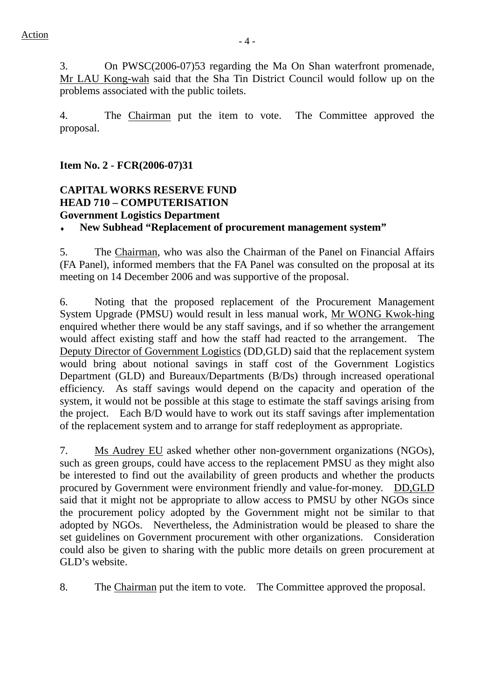3. On PWSC(2006-07)53 regarding the Ma On Shan waterfront promenade, Mr LAU Kong-wah said that the Sha Tin District Council would follow up on the problems associated with the public toilets.

4. The Chairman put the item to vote. The Committee approved the proposal.

**Item No. 2 - FCR(2006-07)31** 

# **CAPITAL WORKS RESERVE FUND HEAD 710 – COMPUTERISATION Government Logistics Department**

# ♦ **New Subhead "Replacement of procurement management system"**

5. The Chairman, who was also the Chairman of the Panel on Financial Affairs (FA Panel), informed members that the FA Panel was consulted on the proposal at its meeting on 14 December 2006 and was supportive of the proposal.

6. Noting that the proposed replacement of the Procurement Management System Upgrade (PMSU) would result in less manual work, Mr WONG Kwok-hing enquired whether there would be any staff savings, and if so whether the arrangement would affect existing staff and how the staff had reacted to the arrangement. The Deputy Director of Government Logistics (DD,GLD) said that the replacement system would bring about notional savings in staff cost of the Government Logistics Department (GLD) and Bureaux/Departments (B/Ds) through increased operational efficiency. As staff savings would depend on the capacity and operation of the system, it would not be possible at this stage to estimate the staff savings arising from the project. Each B/D would have to work out its staff savings after implementation of the replacement system and to arrange for staff redeployment as appropriate.

7. Ms Audrey EU asked whether other non-government organizations (NGOs), such as green groups, could have access to the replacement PMSU as they might also be interested to find out the availability of green products and whether the products procured by Government were environment friendly and value-for-money. DD,GLD said that it might not be appropriate to allow access to PMSU by other NGOs since the procurement policy adopted by the Government might not be similar to that adopted by NGOs. Nevertheless, the Administration would be pleased to share the set guidelines on Government procurement with other organizations. Consideration could also be given to sharing with the public more details on green procurement at GLD's website.

8. The Chairman put the item to vote. The Committee approved the proposal.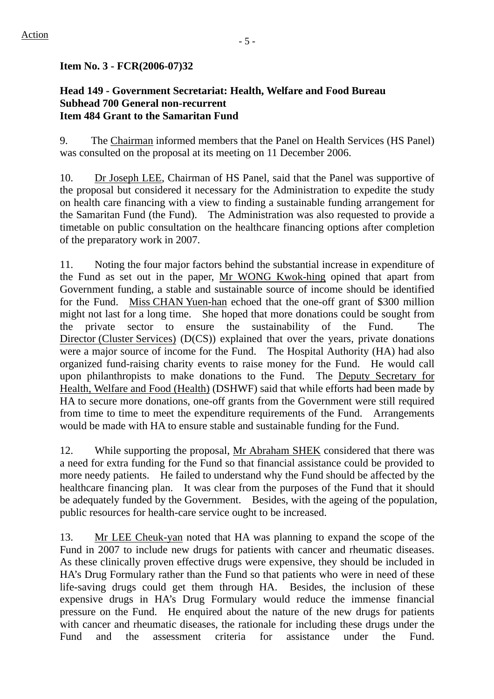## **Head 149 - Government Secretariat: Health, Welfare and Food Bureau Subhead 700 General non-recurrent Item 484 Grant to the Samaritan Fund**

9. The Chairman informed members that the Panel on Health Services (HS Panel) was consulted on the proposal at its meeting on 11 December 2006.

10. Dr Joseph LEE, Chairman of HS Panel, said that the Panel was supportive of the proposal but considered it necessary for the Administration to expedite the study on health care financing with a view to finding a sustainable funding arrangement for the Samaritan Fund (the Fund). The Administration was also requested to provide a timetable on public consultation on the healthcare financing options after completion of the preparatory work in 2007.

11. Noting the four major factors behind the substantial increase in expenditure of the Fund as set out in the paper, Mr WONG Kwok-hing opined that apart from Government funding, a stable and sustainable source of income should be identified for the Fund. Miss CHAN Yuen-han echoed that the one-off grant of \$300 million might not last for a long time. She hoped that more donations could be sought from the private sector to ensure the sustainability of the Fund. The Director (Cluster Services) (D(CS)) explained that over the years, private donations were a major source of income for the Fund. The Hospital Authority (HA) had also organized fund-raising charity events to raise money for the Fund. He would call upon philanthropists to make donations to the Fund.The Deputy Secretary for Health, Welfare and Food (Health) (DSHWF) said that while efforts had been made by HA to secure more donations, one-off grants from the Government were still required from time to time to meet the expenditure requirements of the Fund. Arrangements would be made with HA to ensure stable and sustainable funding for the Fund.

12. While supporting the proposal, Mr Abraham SHEK considered that there was a need for extra funding for the Fund so that financial assistance could be provided to more needy patients. He failed to understand why the Fund should be affected by the healthcare financing plan. It was clear from the purposes of the Fund that it should be adequately funded by the Government. Besides, with the ageing of the population, public resources for health-care service ought to be increased.

13. Mr LEE Cheuk-yan noted that HA was planning to expand the scope of the Fund in 2007 to include new drugs for patients with cancer and rheumatic diseases. As these clinically proven effective drugs were expensive, they should be included in HA's Drug Formulary rather than the Fund so that patients who were in need of these life-saving drugs could get them through HA. Besides, the inclusion of these expensive drugs in HA's Drug Formulary would reduce the immense financial pressure on the Fund. He enquired about the nature of the new drugs for patients with cancer and rheumatic diseases, the rationale for including these drugs under the Fund and the assessment criteria for assistance under the Fund.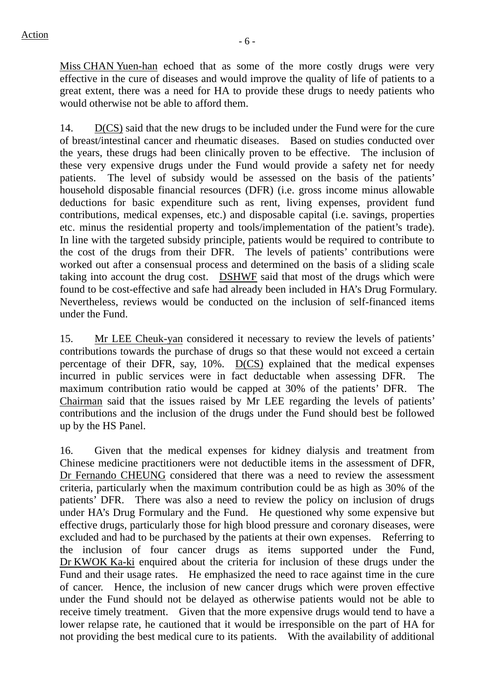Miss CHAN Yuen-han echoed that as some of the more costly drugs were very effective in the cure of diseases and would improve the quality of life of patients to a great extent, there was a need for HA to provide these drugs to needy patients who would otherwise not be able to afford them.

14. D(CS) said that the new drugs to be included under the Fund were for the cure of breast/intestinal cancer and rheumatic diseases. Based on studies conducted over the years, these drugs had been clinically proven to be effective. The inclusion of these very expensive drugs under the Fund would provide a safety net for needy patients. The level of subsidy would be assessed on the basis of the patients' household disposable financial resources (DFR) (i.e. gross income minus allowable deductions for basic expenditure such as rent, living expenses, provident fund contributions, medical expenses, etc.) and disposable capital (i.e. savings, properties etc. minus the residential property and tools/implementation of the patient's trade). In line with the targeted subsidy principle, patients would be required to contribute to the cost of the drugs from their DFR. The levels of patients' contributions were worked out after a consensual process and determined on the basis of a sliding scale taking into account the drug cost. DSHWF said that most of the drugs which were found to be cost-effective and safe had already been included in HA's Drug Formulary. Nevertheless, reviews would be conducted on the inclusion of self-financed items under the Fund.

15. Mr LEE Cheuk-yan considered it necessary to review the levels of patients' contributions towards the purchase of drugs so that these would not exceed a certain percentage of their DFR, say, 10%. D(CS) explained that the medical expenses incurred in public services were in fact deductable when assessing DFR. The maximum contribution ratio would be capped at 30% of the patients' DFR. The Chairman said that the issues raised by Mr LEE regarding the levels of patients' contributions and the inclusion of the drugs under the Fund should best be followed up by the HS Panel.

16. Given that the medical expenses for kidney dialysis and treatment from Chinese medicine practitioners were not deductible items in the assessment of DFR, Dr Fernando CHEUNG considered that there was a need to review the assessment criteria, particularly when the maximum contribution could be as high as 30% of the patients' DFR. There was also a need to review the policy on inclusion of drugs under HA's Drug Formulary and the Fund. He questioned why some expensive but effective drugs, particularly those for high blood pressure and coronary diseases, were excluded and had to be purchased by the patients at their own expenses. Referring to the inclusion of four cancer drugs as items supported under the Fund, Dr KWOK Ka-ki enquired about the criteria for inclusion of these drugs under the Fund and their usage rates. He emphasized the need to race against time in the cure of cancer. Hence, the inclusion of new cancer drugs which were proven effective under the Fund should not be delayed as otherwise patients would not be able to receive timely treatment. Given that the more expensive drugs would tend to have a lower relapse rate, he cautioned that it would be irresponsible on the part of HA for not providing the best medical cure to its patients. With the availability of additional